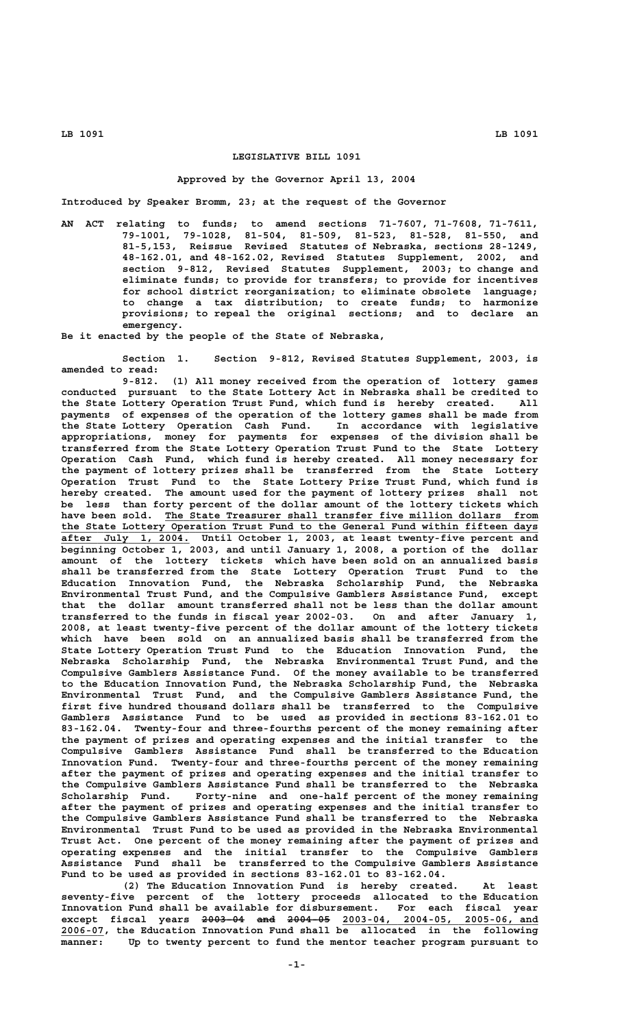# **LEGISLATIVE BILL 1091**

### **Approved by the Governor April 13, 2004**

**Introduced by Speaker Bromm, 23; at the request of the Governor**

**AN ACT relating to funds; to amend sections 71-7607, 71-7608, 71-7611, 79-1001, 79-1028, 81-504, 81-509, 81-523, 81-528, 81-550, and 81-5,153, Reissue Revised Statutes of Nebraska, sections 28-1249, 48-162.01, and 48-162.02, Revised Statutes Supplement, 2002, and section 9-812, Revised Statutes Supplement, 2003; to change and eliminate funds; to provide for transfers; to provide for incentives for school district reorganization; to eliminate obsolete language; to change a tax distribution; to create funds; to harmonize provisions; to repeal the original sections; and to declare an emergency.**

**Be it enacted by the people of the State of Nebraska,**

**Section 1. Section 9-812, Revised Statutes Supplement, 2003, is amended to read:**

**9-812. (1) All money received from the operation of lottery games conducted pursuant to the State Lottery Act in Nebraska shall be credited to the State Lottery Operation Trust Fund, which fund is hereby created. All payments of expenses of the operation of the lottery games shall be made from the State Lottery Operation Cash Fund. In accordance with legislative appropriations, money for payments for expenses of the division shall be transferred from the State Lottery Operation Trust Fund to the State Lottery Operation Cash Fund, which fund is hereby created. All money necessary for the payment of lottery prizes shall be transferred from the State Lottery Operation Trust Fund to the State Lottery Prize Trust Fund, which fund is hereby created. The amount used for the payment of lottery prizes shall not be less than forty percent of the dollar amount of the lottery tickets which** have been sold. The State Treasurer shall transfer five million dollars from  **\_\_\_\_\_\_\_\_\_\_\_\_\_\_\_\_\_\_\_\_\_\_\_\_\_\_\_\_\_\_\_\_\_\_\_\_\_\_\_\_\_\_\_\_\_\_\_\_\_\_\_\_\_\_\_\_\_\_\_\_\_\_\_\_\_\_\_\_\_\_\_\_\_\_\_\_\_\_ the State Lottery Operation Trust Fund to the General Fund within fifteen days \_\_\_\_\_\_\_\_\_\_\_\_\_\_\_\_\_\_\_\_\_ after July 1, 2004. Until October 1, 2003, at least twenty-five percent and beginning October 1, 2003, and until January 1, 2008, a portion of the dollar amount of the lottery tickets which have been sold on an annualized basis shall be transferred from the State Lottery Operation Trust Fund to the Education Innovation Fund, the Nebraska Scholarship Fund, the Nebraska Environmental Trust Fund, and the Compulsive Gamblers Assistance Fund, except that the dollar amount transferred shall not be less than the dollar amount transferred to the funds in fiscal year 2002-03. On and after January 1, 2008, at least twenty-five percent of the dollar amount of the lottery tickets which have been sold on an annualized basis shall be transferred from the State Lottery Operation Trust Fund to the Education Innovation Fund, the Nebraska Scholarship Fund, the Nebraska Environmental Trust Fund, and the Compulsive Gamblers Assistance Fund. Of the money available to be transferred to the Education Innovation Fund, the Nebraska Scholarship Fund, the Nebraska Environmental Trust Fund, and the Compulsive Gamblers Assistance Fund, the first five hundred thousand dollars shall be transferred to the Compulsive Gamblers Assistance Fund to be used as provided in sections 83-162.01 to 83-162.04. Twenty-four and three-fourths percent of the money remaining after the payment of prizes and operating expenses and the initial transfer to the Compulsive Gamblers Assistance Fund shall be transferred to the Education Innovation Fund. Twenty-four and three-fourths percent of the money remaining after the payment of prizes and operating expenses and the initial transfer to the Compulsive Gamblers Assistance Fund shall be transferred to the Nebraska Scholarship Fund. Forty-nine and one-half percent of the money remaining after the payment of prizes and operating expenses and the initial transfer to the Compulsive Gamblers Assistance Fund shall be transferred to the Nebraska Environmental Trust Fund to be used as provided in the Nebraska Environmental Trust Act. One percent of the money remaining after the payment of prizes and operating expenses and the initial transfer to the Compulsive Gamblers Assistance Fund shall be transferred to the Compulsive Gamblers Assistance Fund to be used as provided in sections 83-162.01 to 83-162.04.**

**(2) The Education Innovation Fund is hereby created. At least seventy-five percent of the lottery proceeds allocated to the Education Innovation Fund shall be available for disbursement. For each fiscal year** except fiscal years <del>2003-04 and 2004-05</del> 2003-04, 2004-05, 2005-06, and  **\_\_\_\_\_\_\_ 2006-07, the Education Innovation Fund shall be allocated in the following manner: Up to twenty percent to fund the mentor teacher program pursuant to**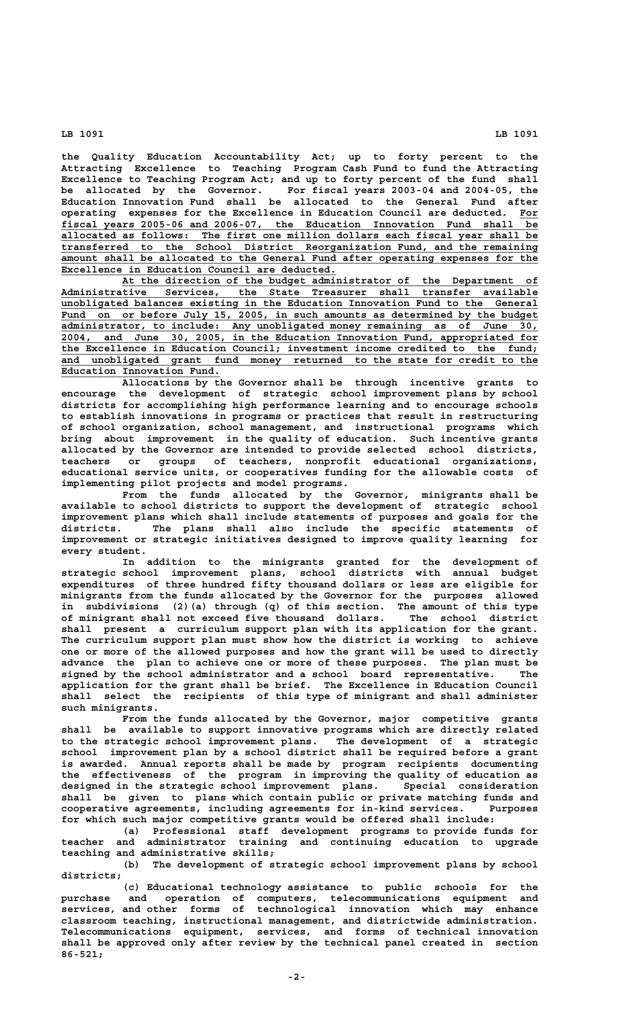**the Quality Education Accountability Act; up to forty percent to the Attracting Excellence to Teaching Program Cash Fund to fund the Attracting Excellence to Teaching Program Act; and up to forty percent of the fund shall** For fiscal years 2003-04 and 2004-05, the **Education Innovation Fund shall be allocated to the General Fund after operating expenses for the Excellence in Education Council are deducted. For \_\_\_ \_\_\_\_\_\_\_\_\_\_\_\_\_\_\_\_\_\_\_\_\_\_\_\_\_\_\_\_\_\_\_\_\_\_\_\_\_\_\_\_\_\_\_\_\_\_\_\_\_\_\_\_\_\_\_\_\_\_\_\_\_\_\_\_\_\_\_\_\_\_\_\_\_\_\_\_\_\_ fiscal years 2005-06 and 2006-07, the Education Innovation Fund shall be** allocated as follows: The first one million dollars each fiscal year shall be transferred to the School District Reorganization Fund, and the remaining  **\_\_\_\_\_\_\_\_\_\_\_\_\_\_\_\_\_\_\_\_\_\_\_\_\_\_\_\_\_\_\_\_\_\_\_\_\_\_\_\_\_\_\_\_\_\_\_\_\_\_\_\_\_\_\_\_\_\_\_\_\_\_\_\_\_\_\_\_\_\_\_\_\_\_\_\_\_\_ transferred to the School District Reorganization Fund, and the remaining** amount shall be allocated to the General Fund after operating expenses for the **Excellence in Education Council are deducted.** 

 **\_\_\_\_\_\_\_\_\_\_\_\_\_\_\_\_\_\_\_\_\_\_\_\_\_\_\_\_\_\_\_\_\_\_\_\_\_\_\_\_\_\_\_\_\_\_\_\_\_\_\_\_\_\_\_\_\_\_\_\_\_\_\_\_\_\_\_\_ At the direction of the budget administrator of the Department of \_\_\_\_\_\_\_\_\_\_\_\_\_\_\_\_\_\_\_\_\_\_\_\_\_\_\_\_\_\_\_\_\_\_\_\_\_\_\_\_\_\_\_\_\_\_\_\_\_\_\_\_\_\_\_\_\_\_\_\_\_\_\_\_\_\_\_\_\_\_\_\_\_\_\_\_\_\_ Administrative Services, the State Treasurer shall transfer available \_\_\_\_\_\_\_\_\_\_\_\_\_\_\_\_\_\_\_\_\_\_\_\_\_\_\_\_\_\_\_\_\_\_\_\_\_\_\_\_\_\_\_\_\_\_\_\_\_\_\_\_\_\_\_\_\_\_\_\_\_\_\_\_\_\_\_\_\_\_\_\_\_\_\_\_\_\_ unobligated balances existing in the Education Innovation Fund to the General** Fund on or before July 15, 2005, in such amounts as determined by the budget  **\_\_\_\_\_\_\_\_\_\_\_\_\_\_\_\_\_\_\_\_\_\_\_\_\_\_\_\_\_\_\_\_\_\_\_\_\_\_\_\_\_\_\_\_\_\_\_\_\_\_\_\_\_\_\_\_\_\_\_\_\_\_\_\_\_\_\_\_\_\_\_\_\_\_\_\_\_\_ administrator, to include: Any unobligated money remaining as of June 30, \_\_\_\_\_\_\_\_\_\_\_\_\_\_\_\_\_\_\_\_\_\_\_\_\_\_\_\_\_\_\_\_\_\_\_\_\_\_\_\_\_\_\_\_\_\_\_\_\_\_\_\_\_\_\_\_\_\_\_\_\_\_\_\_\_\_\_\_\_\_\_\_\_\_\_\_\_\_ 2004, and June 30, 2005, in the Education Innovation Fund, appropriated for \_\_\_\_\_\_\_\_\_\_\_\_\_\_\_\_\_\_\_\_\_\_\_\_\_\_\_\_\_\_\_\_\_\_\_\_\_\_\_\_\_\_\_\_\_\_\_\_\_\_\_\_\_\_\_\_\_\_\_\_\_\_\_\_\_\_\_\_\_\_\_\_\_\_\_\_\_\_ the Excellence in Education Council; investment income credited to the fund;** and unobligated grant fund money returned to the state for credit to the  **\_\_\_\_\_\_\_\_\_\_\_\_\_\_\_\_\_\_\_\_\_\_\_\_\_\_ Education Innovation Fund.**

> **Allocations by the Governor shall be through incentive grants to encourage the development of strategic school improvement plans by school districts for accomplishing high performance learning and to encourage schools to establish innovations in programs or practices that result in restructuring of school organization, school management, and instructional programs which bring about improvement in the quality of education. Such incentive grants allocated by the Governor are intended to provide selected school districts, teachers or groups of teachers, nonprofit educational organizations, educational service units, or cooperatives funding for the allowable costs of implementing pilot projects and model programs.**

> **From the funds allocated by the Governor, minigrants shall be available to school districts to support the development of strategic school improvement plans which shall include statements of purposes and goals for the districts. The plans shall also include the specific statements of improvement or strategic initiatives designed to improve quality learning for every student.**

> **In addition to the minigrants granted for the development of strategic school improvement plans, school districts with annual budget expenditures of three hundred fifty thousand dollars or less are eligible for minigrants from the funds allocated by the Governor for the purposes allowed in subdivisions (2)(a) through (q) of this section. The amount of this type of minigrant shall not exceed five thousand dollars. The school district shall present a curriculum support plan with its application for the grant. The curriculum support plan must show how the district is working to achieve one or more of the allowed purposes and how the grant will be used to directly advance the plan to achieve one or more of these purposes. The plan must be signed by the school administrator and a school board representative. The application for the grant shall be brief. The Excellence in Education Council shall select the recipients of this type of minigrant and shall administer such minigrants.**

> **From the funds allocated by the Governor, major competitive grants shall be available to support innovative programs which are directly related to the strategic school improvement plans. The development of a strategic school improvement plan by a school district shall be required before a grant is awarded. Annual reports shall be made by program recipients documenting the effectiveness of the program in improving the quality of education as designed in the strategic school improvement plans. Special consideration shall be given to plans which contain public or private matching funds and cooperative agreements, including agreements for in-kind services. Purposes for which such major competitive grants would be offered shall include:**

> **(a) Professional staff development programs to provide funds for teacher and administrator training and continuing education to upgrade teaching and administrative skills;**

> **(b) The development of strategic school improvement plans by school districts;**

> **(c) Educational technology assistance to public schools for the purchase and operation of computers, telecommunications equipment and services, and other forms of technological innovation which may enhance classroom teaching, instructional management, and districtwide administration. Telecommunications equipment, services, and forms of technical innovation shall be approved only after review by the technical panel created in section 86-521;**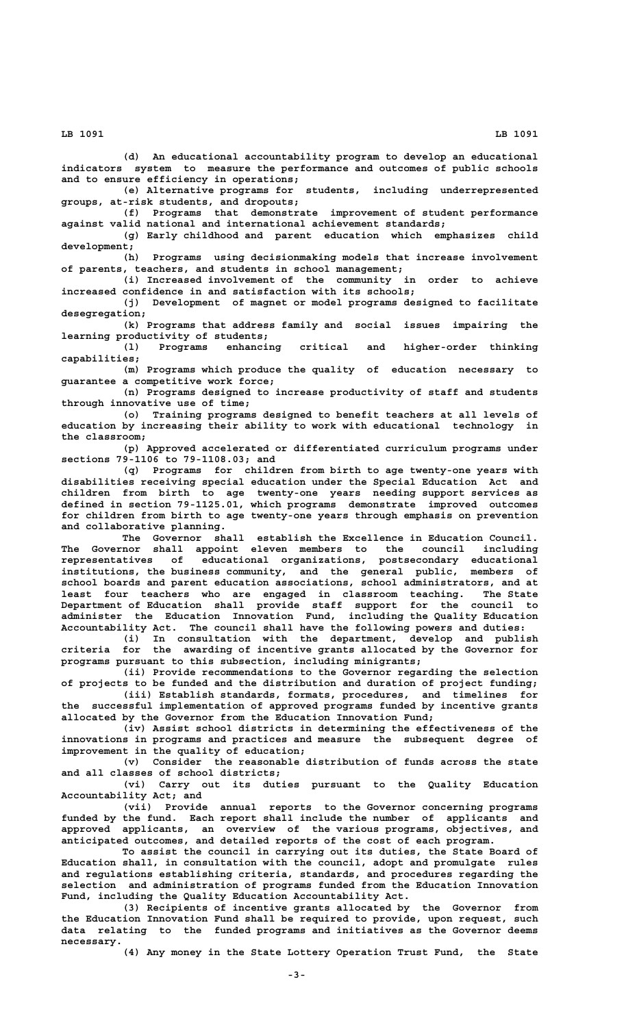**(d) An educational accountability program to develop an educational indicators system to measure the performance and outcomes of public schools and to ensure efficiency in operations;**

**(e) Alternative programs for students, including underrepresented groups, at-risk students, and dropouts;**

**(f) Programs that demonstrate improvement of student performance against valid national and international achievement standards;**

**(g) Early childhood and parent education which emphasizes child development;**

**(h) Programs using decisionmaking models that increase involvement of parents, teachers, and students in school management;**

**(i) Increased involvement of the community in order to achieve increased confidence in and satisfaction with its schools;**

**(j) Development of magnet or model programs designed to facilitate desegregation;**

**(k) Programs that address family and social issues impairing the learning productivity of students;**

**(l) Programs enhancing critical and higher-order thinking capabilities;**

**(m) Programs which produce the quality of education necessary to guarantee a competitive work force;**

**(n) Programs designed to increase productivity of staff and students through innovative use of time;**

**(o) Training programs designed to benefit teachers at all levels of education by increasing their ability to work with educational technology in the classroom;**

**(p) Approved accelerated or differentiated curriculum programs under sections 79-1106 to 79-1108.03; and**

**(q) Programs for children from birth to age twenty-one years with disabilities receiving special education under the Special Education Act and children from birth to age twenty-one years needing support services as defined in section 79-1125.01, which programs demonstrate improved outcomes for children from birth to age twenty-one years through emphasis on prevention and collaborative planning.**

**The Governor shall establish the Excellence in Education Council. The Governor shall appoint eleven members to the council including representatives of educational organizations, postsecondary educational institutions** of educational organizations, postsecondary educational institutions, the business community, and the general public, members of school boards and parent education accordinations **school boards and parent education associations, school administrators, and at least four teachers who are engaged in classroom teaching. The State Department of Education shall provide staff support for the council to administer the Education Innovation Fund, including the Quality Education Accountability Act. The council shall have the following powers and duties:**

**(i) In consultation with the department, develop and publish criteria for the awarding of incentive grants allocated by the Governor for programs pursuant to this subsection, including minigrants;**

**(ii) Provide recommendations to the Governor regarding the selection of projects to be funded and the distribution and duration of project funding; (iii) Establish standards, formats, procedures, and timelines for**

**the successful implementation of approved programs funded by incentive grants allocated by the Governor from the Education Innovation Fund;**

**(iv) Assist school districts in determining the effectiveness of the innovations in programs and practices and measure the subsequent degree of improvement in the quality of education;**

**(v) Consider the reasonable distribution of funds across the state and all classes of school districts;**

**(vi) Carry out its duties pursuant to the Quality Education Accountability Act; and**

**(vii) Provide annual reports to the Governor concerning programs funded by the fund. Each report shall include the number of applicants and approved applicants, an overview of the various programs, objectives, and anticipated outcomes, and detailed reports of the cost of each program.**

**To assist the council in carrying out its duties, the State Board of Education shall, in consultation with the council, adopt and promulgate rules and regulations establishing criteria, standards, and procedures regarding the selection and administration of programs funded from the Education Innovation Fund, including the Quality Education Accountability Act.**

**(3) Recipients of incentive grants allocated by the Governor from the Education Innovation Fund shall be required to provide, upon request, such data relating to the funded programs and initiatives as the Governor deems necessary.**

**(4) Any money in the State Lottery Operation Trust Fund, the State**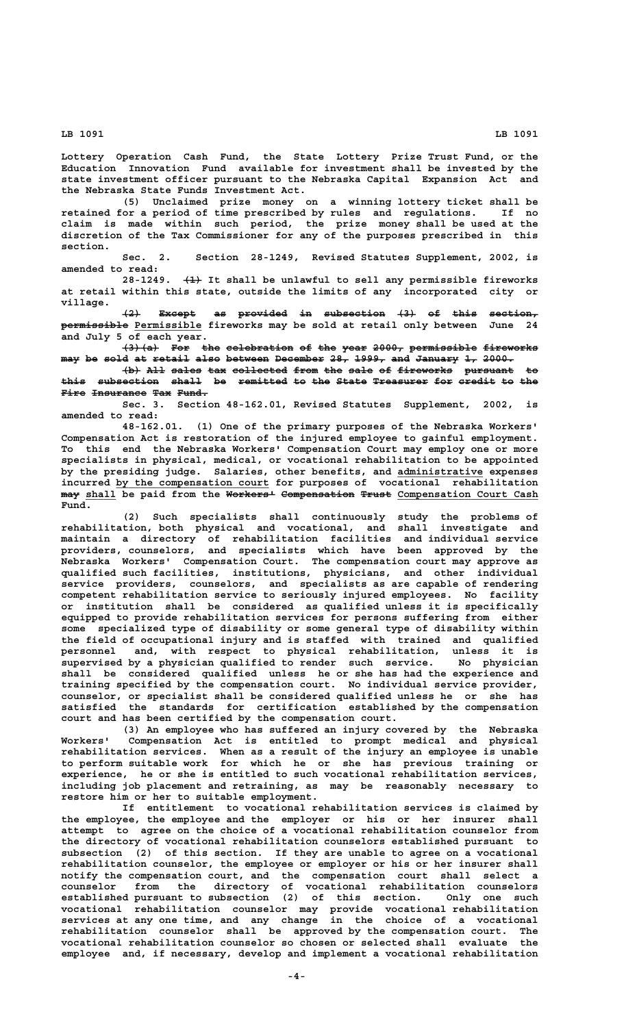**Lottery Operation Cash Fund, the State Lottery Prize Trust Fund, or the Education Innovation Fund available for investment shall be invested by the state investment officer pursuant to the Nebraska Capital Expansion Act and the Nebraska State Funds Investment Act.**

**(5) Unclaimed prize money on a winning lottery ticket shall be retained for a period of time prescribed by rules and regulations. If no claim is made within such period, the prize money shall be used at the discretion of the Tax Commissioner for any of the purposes prescribed in this section.**

**Sec. 2. Section 28-1249, Revised Statutes Supplement, 2002, is amended to read:**

28-1249.  $\leftarrow{4}$  It shall be unlawful to sell any permissible fireworks **at retail within this state, outside the limits of any incorporated city or village.**

**(2) Except as provided in subsection (3) of this section, ——— —————— —— ———————— —— —————————— ——— —— ———— ———————— ——————————— \_\_\_\_\_\_\_\_\_\_\_ permissible Permissible fireworks may be sold at retail only between June 24 and July 5 of each year.**

**(3)(a) For the celebration of the year 2000, permissible fireworks —————— ——— ——— ——————————— —— ——— ———— ————— ——————————— ————————**  $m$ <sub>ay</sub> be sold at retail also between December 28, 1999, and January 1, 2000.

 $\downarrow$ b) All sales tax collected from the sale of fireworks pursuant to this subsection shall be remitted to the State Treasurer for credit to the **Fire Insurance Tax Fund.** 

**Sec. 3. Section 48-162.01, Revised Statutes Supplement, 2002, is amended to read:**

**48-162.01. (1) One of the primary purposes of the Nebraska Workers' Compensation Act is restoration of the injured employee to gainful employment. To this end the Nebraska Workers' Compensation Court may employ one or more specialists in physical, medical, or vocational rehabilitation to be appointed by the presiding judge. Salaries, other benefits, and administrative expenses \_\_\_\_\_\_\_\_\_\_\_\_\_\_ \_\_\_\_\_\_\_\_\_\_\_\_\_\_\_\_\_\_\_\_\_\_\_\_\_ incurred by the compensation court for purposes of vocational rehabilitation**  $\frac{1}{2}$  shall be paid from the Workers<sup>1</sup> Compensation Trust Compensation Court Cash  **Fund.**

**(2) Such specialists shall continuously study the problems of rehabilitation, both physical and vocational, and shall investigate and maintain a directory of rehabilitation facilities and individual service providers, counselors, and specialists which have been approved by the Nebraska Workers' Compensation Court. The compensation court may approve as qualified such facilities, institutions, physicians, and other individual service providers, counselors, and specialists as are capable of rendering competent rehabilitation service to seriously injured employees. No facility or institution shall be considered as qualified unless it is specifically equipped to provide rehabilitation services for persons suffering from either some specialized type of disability or some general type of disability within the field of occupational injury and is staffed with trained and qualified personnel and, with respect to physical rehabilitation, unless it is supervised by a physician qualified to render such service. No physician shall be considered qualified unless he or she has had the experience and training specified by the compensation court. No individual service provider, counselor, or specialist shall be considered qualified unless he or she has satisfied the standards for certification established by the compensation court and has been certified by the compensation court.**

**(3) An employee who has suffered an injury covered by the Nebraska Workers' Compensation Act is entitled to prompt medical and physical rehabilitation services. When as a result of the injury an employee is unable to perform suitable work for which he or she has previous training or experience, he or she is entitled to such vocational rehabilitation services, including job placement and retraining, as may be reasonably necessary to restore him or her to suitable employment.**

**If entitlement to vocational rehabilitation services is claimed by the employee, the employee and the employer or his or her insurer shall attempt to agree on the choice of a vocational rehabilitation counselor from the directory of vocational rehabilitation counselors established pursuant to subsection (2) of this section. If they are unable to agree on a vocational rehabilitation counselor, the employee or employer or his or her insurer shall notify the compensation court, and the compensation court shall select a counselor from the directory of vocational rehabilitation counselors established pursuant to subsection (2) of this section. Only one such vocational rehabilitation counselor may provide vocational rehabilitation services at any one time, and any change in the choice of a vocational rehabilitation counselor shall be approved by the compensation court. The vocational rehabilitation counselor so chosen or selected shall evaluate the employee and, if necessary, develop and implement a vocational rehabilitation**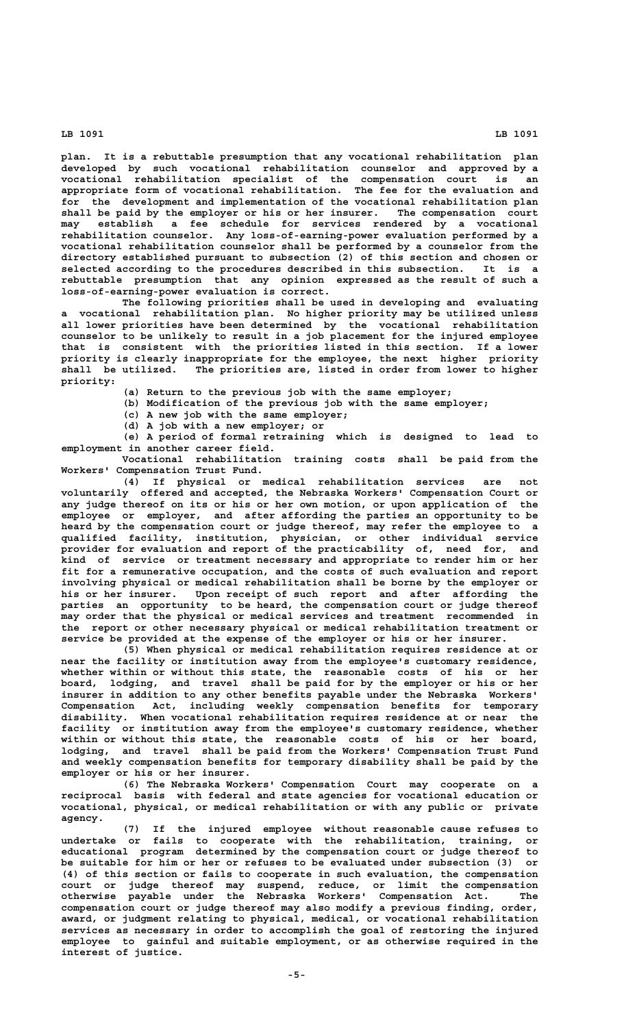**plan. It is a rebuttable presumption that any vocational rehabilitation plan developed by such vocational rehabilitation counselor and approved by a vocational rehabilitation specialist of the compensation court is an appropriate form of vocational rehabilitation. The fee for the evaluation and for the development and implementation of the vocational rehabilitation plan shall be paid by the employer or his or her insurer. The compensation court may establish a fee schedule for services rendered by a vocational rehabilitation counselor. Any loss-of-earning-power evaluation performed by a vocational rehabilitation counselor shall be performed by a counselor from the directory established pursuant to subsection (2) of this section and chosen or selected according to the procedures described in this subsection. It is a rebuttable presumption that any opinion expressed as the result of such a loss-of-earning-power evaluation is correct.**

**The following priorities shall be used in developing and evaluating a vocational rehabilitation plan. No higher priority may be utilized unless all lower priorities have been determined by the vocational rehabilitation counselor to be unlikely to result in a job placement for the injured employee that is consistent with the priorities listed in this section. If a lower priority is clearly inappropriate for the employee, the next higher priority shall be utilized. The priorities are, listed in order from lower to higher priority:**

**(a) Return to the previous job with the same employer;**

**(b) Modification of the previous job with the same employer;**

**(c) A new job with the same employer;**

**(d) A job with a new employer; or**

**(e) A period of formal retraining which is designed to lead to employment in another career field.**

**Vocational rehabilitation training costs shall be paid from the Workers' Compensation Trust Fund.**

**(4) If physical or medical rehabilitation services are not voluntarily offered and accepted, the Nebraska Workers' Compensation Court or any judge thereof on its or his or her own motion, or upon application of the employee or employer, and after affording the parties an opportunity to be heard by the compensation court or judge thereof, may refer the employee to a qualified facility, institution, physician, or other individual service provider for evaluation and report of the practicability of, need for, and kind of service or treatment necessary and appropriate to render him or her fit for a remunerative occupation, and the costs of such evaluation and report involving physical or medical rehabilitation shall be borne by the employer or his or her insurer. Upon receipt of such report and after affording the parties an opportunity to be heard, the compensation court or judge thereof may order that the physical or medical services and treatment recommended in the report or other necessary physical or medical rehabilitation treatment or service be provided at the expense of the employer or his or her insurer.**

**(5) When physical or medical rehabilitation requires residence at or near the facility or institution away from the employee's customary residence, whether within or without this state, the reasonable costs of his or her board, lodging, and travel shall be paid for by the employer or his or her insurer in addition to any other benefits payable under the Nebraska Workers' Compensation Act, including weekly compensation benefits for temporary disability. When vocational rehabilitation requires residence at or near the facility or institution away from the employee's customary residence, whether within or without this state, the reasonable costs of his or her board, lodging, and travel shall be paid from the Workers' Compensation Trust Fund and weekly compensation benefits for temporary disability shall be paid by the employer or his or her insurer.**

**(6) The Nebraska Workers' Compensation Court may cooperate on a reciprocal basis with federal and state agencies for vocational education or vocational, physical, or medical rehabilitation or with any public or private agency.**

**(7) If the injured employee without reasonable cause refuses to undertake or fails to cooperate with the rehabilitation, training, or educational program determined by the compensation court or judge thereof to be suitable for him or her or refuses to be evaluated under subsection (3) or (4) of this section or fails to cooperate in such evaluation, the compensation court or judge thereof may suspend, reduce, or limit the compensation otherwise payable under the Nebraska Workers' Compensation Act. The compensation court or judge thereof may also modify a previous finding, order, award, or judgment relating to physical, medical, or vocational rehabilitation services as necessary in order to accomplish the goal of restoring the injured employee to gainful and suitable employment, or as otherwise required in the interest of justice.**

 **LB 1091 LB 1091**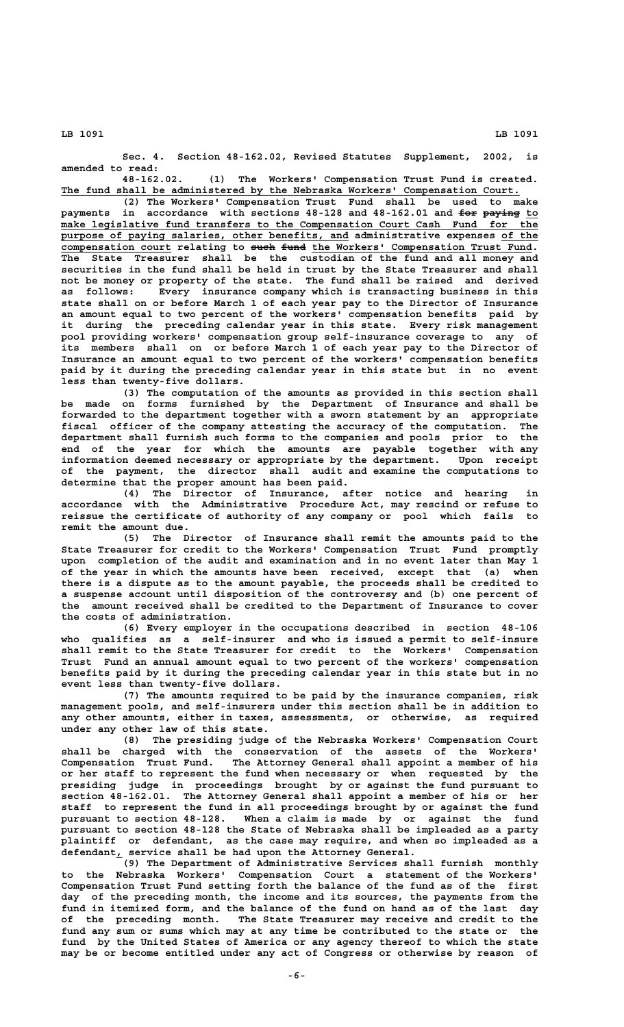**Sec. 4. Section 48-162.02, Revised Statutes Supplement, 2002, is amended to read:**

**48-162.02. (1) The Workers' Compensation Trust Fund is created. \_\_\_\_\_\_\_\_\_\_\_\_\_\_\_\_\_\_\_\_\_\_\_\_\_\_\_\_\_\_\_\_\_\_\_\_\_\_\_\_\_\_\_\_\_\_\_\_\_\_\_\_\_\_\_\_\_\_\_\_\_\_\_\_\_\_\_\_\_\_\_\_\_\_\_ The fund shall be administered by the Nebraska Workers' Compensation Court.**

**(2) The Workers' Compensation Trust Fund shall be used to make** payments in accordance with sections 48-128 and 48-162.01 and for paying to  **\_\_\_\_\_\_\_\_\_\_\_\_\_\_\_\_\_\_\_\_\_\_\_\_\_\_\_\_\_\_\_\_\_\_\_\_\_\_\_\_\_\_\_\_\_\_\_\_\_\_\_\_\_\_\_\_\_\_\_\_\_\_\_\_\_\_\_\_\_\_\_\_\_\_\_\_\_\_ make legislative fund transfers to the Compensation Court Cash Fund for the \_\_\_\_\_\_\_\_\_\_\_\_\_\_\_\_\_\_\_\_\_\_\_\_\_\_\_\_\_\_\_\_\_\_\_\_\_\_\_\_\_\_\_\_\_\_\_ \_\_\_\_\_\_ purpose of paying salaries, other benefits, and administrative expenses of the** compensation court relating to such fund the Workers' Compensation Trust Fund. **The State Treasurer shall be the custodian of the fund and all money and securities in the fund shall be held in trust by the State Treasurer and shall not be money or property of the state. The fund shall be raised and derived as follows: Every insurance company which is transacting business in this state shall on or before March 1 of each year pay to the Director of Insurance an amount equal to two percent of the workers' compensation benefits paid by it during the preceding calendar year in this state. Every risk management pool providing workers' compensation group self-insurance coverage to any of its members shall on or before March 1 of each year pay to the Director of Insurance an amount equal to two percent of the workers' compensation benefits paid by it during the preceding calendar year in this state but in no event less than twenty-five dollars.**

**(3) The computation of the amounts as provided in this section shall be made on forms furnished by the Department of Insurance and shall be forwarded to the department together with a sworn statement by an appropriate fiscal officer of the company attesting the accuracy of the computation. The department shall furnish such forms to the companies and pools prior to the end of the year for which the amounts are payable together with any information deemed necessary or appropriate by the department. Upon receipt of the payment, the director shall audit and examine the computations to determine that the proper amount has been paid.**

**(4) The Director of Insurance, after notice and hearing in accordance with the Administrative Procedure Act, may rescind or refuse to reissue the certificate of authority of any company or pool which fails to remit the amount due.**

**(5) The Director of Insurance shall remit the amounts paid to the State Treasurer for credit to the Workers' Compensation Trust Fund promptly upon completion of the audit and examination and in no event later than May 1 of the year in which the amounts have been received, except that (a) when there is a dispute as to the amount payable, the proceeds shall be credited to a suspense account until disposition of the controversy and (b) one percent of the amount received shall be credited to the Department of Insurance to cover the costs of administration.**

**(6) Every employer in the occupations described in section 48-106 who qualifies as a self-insurer and who is issued a permit to self-insure shall remit to the State Treasurer for credit to the Workers' Compensation Trust Fund an annual amount equal to two percent of the workers' compensation benefits paid by it during the preceding calendar year in this state but in no event less than twenty-five dollars.**

**(7) The amounts required to be paid by the insurance companies, risk management pools, and self-insurers under this section shall be in addition to any other amounts, either in taxes, assessments, or otherwise, as required under any other law of this state.**

**(8) The presiding judge of the Nebraska Workers' Compensation Court shall be charged with the conservation of the assets of the Workers' Compensation Trust Fund. The Attorney General shall appoint a member of his or her staff to represent the fund when necessary or when requested by the presiding judge in proceedings brought by or against the fund pursuant to section 48-162.01. The Attorney General shall appoint a member of his or her staff to represent the fund in all proceedings brought by or against the fund pursuant to section 48-128. When a claim is made by or against the fund pursuant to section 48-128 the State of Nebraska shall be impleaded as a party plaintiff or defendant, as the case may require, and when so impleaded as a \_ defendant, service shall be had upon the Attorney General.**

**(9) The Department of Administrative Services shall furnish monthly to the Nebraska Workers' Compensation Court a statement of the Workers' Compensation Trust Fund setting forth the balance of the fund as of the first day of the preceding month, the income and its sources, the payments from the fund in itemized form, and the balance of the fund on hand as of the last day of the preceding month. The State Treasurer may receive and credit to the fund any sum or sums which may at any time be contributed to the state or the fund by the United States of America or any agency thereof to which the state may be or become entitled under any act of Congress or otherwise by reason of**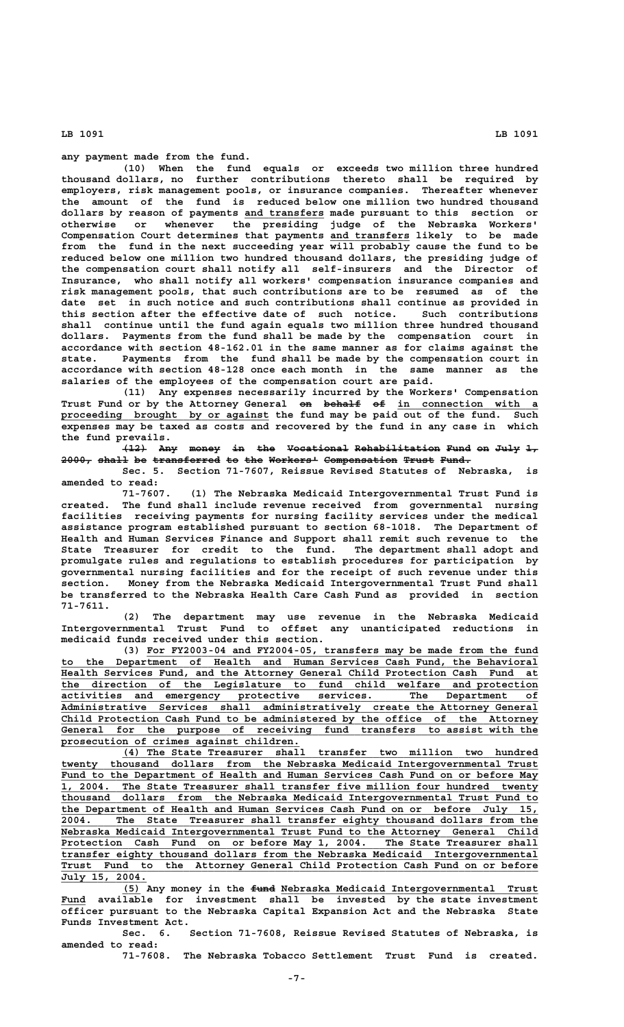**any payment made from the fund.**

**(10) When the fund equals or exceeds two million three hundred thousand dollars, no further contributions thereto shall be required by employers, risk management pools, or insurance companies. Thereafter whenever the amount of the fund is reduced below one million two hundred thousand \_\_\_\_\_\_\_\_\_\_\_\_\_ dollars by reason of payments and transfers made pursuant to this section or otherwise or whenever the presiding judge of the Nebraska Workers' \_\_\_\_\_\_\_\_\_\_\_\_\_ Compensation Court determines that payments and transfers likely to be made from the fund in the next succeeding year will probably cause the fund to be reduced below one million two hundred thousand dollars, the presiding judge of the compensation court shall notify all self-insurers and the Director of Insurance, who shall notify all workers' compensation insurance companies and risk management pools, that such contributions are to be resumed as of the date set in such notice and such contributions shall continue as provided in this section after the effective date of such notice. Such contributions shall continue until the fund again equals two million three hundred thousand dollars. Payments from the fund shall be made by the compensation court in accordance with section 48-162.01 in the same manner as for claims against the state. Payments from the fund shall be made by the compensation court in accordance with section 48-128 once each month in the same manner as the salaries of the employees of the compensation court are paid.**

> **(11) Any expenses necessarily incurred by the Workers' Compensation** Trust Fund or by the Attorney General on behalf of in connection with a  **\_\_\_\_\_\_\_\_\_\_\_\_\_\_\_\_\_\_\_\_\_\_\_\_\_\_\_\_\_\_\_\_\_\_ proceeding brought by or against the fund may be paid out of the fund. Such expenses may be taxed as costs and recovered by the fund in any case in which the fund prevails.**

> **(12) Any money in the Vocational Rehabilitation Fund on July 1, ———— ——— ————— —— ——— —————————— —————————————— ———— —— ———— —— 2000, shall be transferred to the Workers' Compensation Trust Fund. ————— ————— —— ——————————— —— ——— ———————— ———————————— ————— —————**

> **Sec. 5. Section 71-7607, Reissue Revised Statutes of Nebraska, is amended to read:**

> **71-7607. (1) The Nebraska Medicaid Intergovernmental Trust Fund is created. The fund shall include revenue received from governmental nursing facilities receiving payments for nursing facility services under the medical assistance program established pursuant to section 68-1018. The Department of Health and Human Services Finance and Support shall remit such revenue to the State Treasurer for credit to the fund. The department shall adopt and promulgate rules and regulations to establish procedures for participation by governmental nursing facilities and for the receipt of such revenue under this section. Money from the Nebraska Medicaid Intergovernmental Trust Fund shall be transferred to the Nebraska Health Care Cash Fund as provided in section 71-7611.**

> **(2) The department may use revenue in the Nebraska Medicaid Intergovernmental Trust Fund to offset any unanticipated reductions in medicaid funds received under this section.**

 **\_\_\_\_\_\_\_\_\_\_\_\_\_\_\_\_\_\_\_\_\_\_\_\_\_\_\_\_\_\_\_\_\_\_\_\_\_\_\_\_\_\_\_\_\_\_\_\_\_\_\_\_\_\_\_\_\_\_\_\_\_\_\_\_ (3) For FY2003-04 and FY2004-05, transfers may be made from the fund \_\_\_\_\_\_\_\_\_\_\_\_\_\_\_\_\_\_\_\_\_\_\_\_\_\_\_\_\_\_\_\_\_\_\_\_\_\_\_\_\_\_\_\_\_\_\_\_\_\_\_\_\_\_\_\_\_\_\_\_\_\_\_\_\_\_\_\_\_\_\_\_\_\_\_\_\_\_ to the Department of Health and Human Services Cash Fund, the Behavioral \_\_\_\_\_\_\_\_\_\_\_\_\_\_\_\_\_\_\_\_\_\_\_\_\_\_\_\_\_\_\_\_\_\_\_\_\_\_\_\_\_\_\_\_\_\_\_\_\_\_\_\_\_\_\_\_\_\_\_\_\_\_\_\_\_\_\_\_\_\_\_\_\_\_\_\_\_\_ Health Services Fund, and the Attorney General Child Protection Cash Fund at \_\_\_\_\_\_\_\_\_\_\_\_\_\_\_\_\_\_\_\_\_\_\_\_\_\_\_\_\_\_\_\_\_\_\_\_\_\_\_\_\_\_\_\_\_\_\_\_\_\_\_\_\_\_\_\_\_\_\_\_\_\_\_\_\_\_\_\_\_\_\_\_\_\_\_\_\_\_ the direction of the Legislature to fund child welfare and protection \_\_\_\_\_\_\_\_\_\_\_\_\_\_\_\_\_\_\_\_\_\_\_\_\_\_\_\_\_\_\_\_\_\_\_\_\_\_\_\_\_\_\_\_\_\_\_\_\_\_\_\_\_\_\_\_\_\_\_\_\_\_\_\_\_\_\_\_\_\_\_\_\_\_\_\_\_\_ activities and emergency protective services. The Department of \_\_\_\_\_\_\_\_\_\_\_\_\_\_\_\_\_\_\_\_\_\_\_\_\_\_\_\_\_\_\_\_\_\_\_\_\_\_\_\_\_\_\_\_\_\_\_\_\_\_\_\_\_\_\_\_\_\_\_\_\_\_\_\_\_\_\_\_\_\_\_\_\_\_\_\_\_\_ Administrative Services shall administratively create the Attorney General \_\_\_\_\_\_\_\_\_\_\_\_\_\_\_\_\_\_\_\_\_\_\_\_\_\_\_\_\_\_\_\_\_\_\_\_\_\_\_\_\_\_\_\_\_\_\_\_\_\_\_\_\_\_\_\_\_\_\_\_\_\_\_\_\_\_\_\_\_\_\_\_\_\_\_\_\_\_ Child Protection Cash Fund to be administered by the office of the Attorney \_\_\_\_\_\_\_\_\_\_\_\_\_\_\_\_\_\_\_\_\_\_\_\_\_\_\_\_\_\_\_\_\_\_\_\_\_\_\_\_\_\_\_\_\_\_\_\_\_\_\_\_\_\_\_\_\_\_\_\_\_\_\_\_\_\_\_\_\_\_\_\_\_\_\_\_\_\_ General for the purpose of receiving fund transfers to assist with the \_\_\_\_\_\_\_\_\_\_\_\_\_\_\_\_\_\_\_\_\_\_\_\_\_\_\_\_\_\_\_\_\_\_\_\_\_\_\_ prosecution of crimes against children.**

 **\_\_\_\_\_\_\_\_\_\_\_\_\_\_\_\_\_\_\_\_\_\_\_\_\_\_\_\_\_\_\_\_\_\_\_\_\_\_\_\_\_\_\_\_\_\_\_\_\_\_\_\_\_\_\_\_\_\_\_\_\_\_\_\_\_\_\_\_ (4) The State Treasurer shall transfer two million two hundred** twenty thousand dollars from the Nebraska Medicaid Intergovernmental Trust Fund to the Department of Health and Human Services Cash Fund on or before May  **\_\_\_\_\_\_\_\_\_\_\_\_\_\_\_\_\_\_\_\_\_\_\_\_\_\_\_\_\_\_\_\_\_\_\_\_\_\_\_\_\_\_\_\_\_\_\_\_\_\_\_\_\_\_\_\_\_\_\_\_\_\_\_\_\_\_\_\_\_\_\_\_\_\_\_\_\_\_ 1, 2004. The State Treasurer shall transfer five million four hundred twenty \_\_\_\_\_\_\_\_\_\_\_\_\_\_\_\_\_\_\_\_\_\_\_\_\_\_\_\_\_\_\_\_\_\_\_\_\_\_\_\_\_\_\_\_\_\_\_\_\_\_\_\_\_\_\_\_\_\_\_\_\_\_\_\_\_\_\_\_\_\_\_\_\_\_\_\_\_\_ thousand dollars from the Nebraska Medicaid Intergovernmental Trust Fund to \_\_\_\_\_\_\_\_\_\_\_\_\_\_\_\_\_\_\_\_\_\_\_\_\_\_\_\_\_\_\_\_\_\_\_\_\_\_\_\_\_\_\_\_\_\_\_\_\_\_\_\_\_\_\_\_\_\_\_\_\_\_\_\_\_\_\_\_\_\_\_\_\_\_\_\_\_\_ the Department of Health and Human Services Cash Fund on or before July 15, \_\_\_\_\_\_\_\_\_\_\_\_\_\_\_\_\_\_\_\_\_\_\_\_\_\_\_\_\_\_\_\_\_\_\_\_\_\_\_\_\_\_\_\_\_\_\_\_\_\_\_\_\_\_\_\_\_\_\_\_\_\_\_\_\_\_\_\_\_\_\_\_\_\_\_\_\_\_ 2004. The State Treasurer shall transfer eighty thousand dollars from the \_\_\_\_\_\_\_\_\_\_\_\_\_\_\_\_\_\_\_\_\_\_\_\_\_\_\_\_\_\_\_\_\_\_\_\_\_\_\_\_\_\_\_\_\_\_\_\_\_\_\_\_\_\_\_\_\_\_\_\_\_\_\_\_\_\_\_\_\_\_\_\_\_\_\_\_\_\_ Nebraska Medicaid Intergovernmental Trust Fund to the Attorney General Child \_\_\_\_\_\_\_\_\_\_\_\_\_\_\_\_\_\_\_\_\_\_\_\_\_\_\_\_\_\_\_\_\_\_\_\_\_\_\_\_\_\_\_\_\_\_\_\_\_\_\_\_\_\_\_\_\_\_\_\_\_\_\_\_\_\_\_\_\_\_\_\_\_\_\_\_\_\_ Protection Cash Fund on or before May 1, 2004. The State Treasurer shall \_\_\_\_\_\_\_\_\_\_\_\_\_\_\_\_\_\_\_\_\_\_\_\_\_\_\_\_\_\_\_\_\_\_\_\_\_\_\_\_\_\_\_\_\_\_\_\_\_\_\_\_\_\_\_\_\_\_\_\_\_\_\_\_\_\_\_\_\_\_\_\_\_\_\_\_\_\_ transfer eighty thousand dollars from the Nebraska Medicaid Intergovernmental \_\_\_\_\_\_\_\_\_\_\_\_\_\_\_\_\_\_\_\_\_\_\_\_\_\_\_\_\_\_\_\_\_\_\_\_\_\_\_\_\_\_\_\_\_\_\_\_\_\_\_\_\_\_\_\_\_\_\_\_\_\_\_\_\_\_\_\_\_\_\_\_\_\_\_\_\_\_ Trust Fund to the Attorney General Child Protection Cash Fund on or before \_\_\_\_\_\_\_\_\_\_\_\_\_\_ July 15, 2004.**

 $\overline{(5)}$  Any money in the <del>fund</del> Nebraska Medicaid Intergovernmental Trust Fund available for investment shall be invested by the state investment **officer pursuant to the Nebraska Capital Expansion Act and the Nebraska State Funds Investment Act.**

**Sec. 6. Section 71-7608, Reissue Revised Statutes of Nebraska, is amended to read:**

**71-7608. The Nebraska Tobacco Settlement Trust Fund is created.**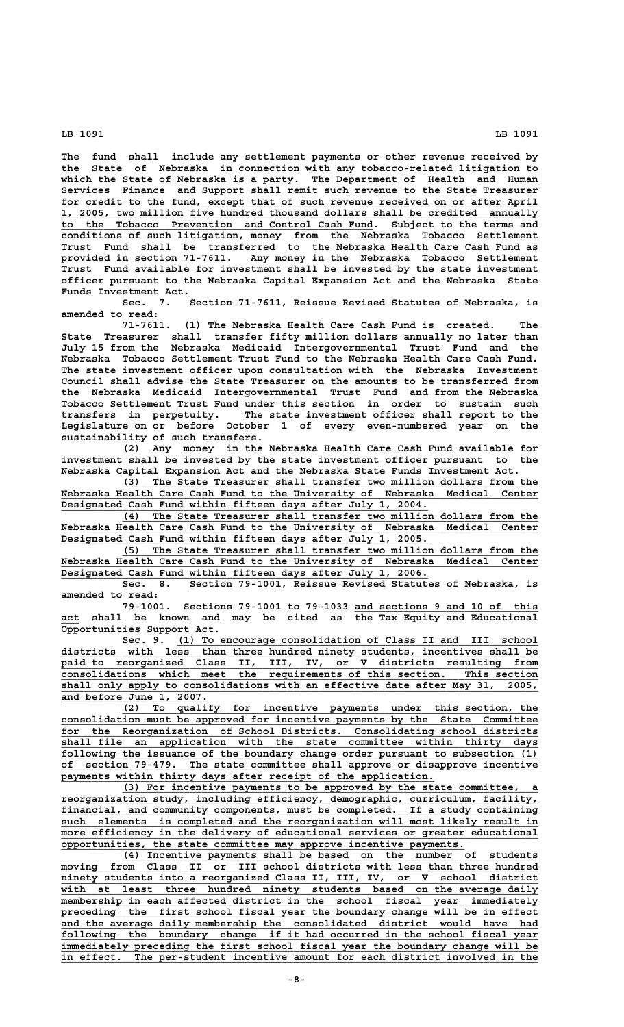**The fund shall include any settlement payments or other revenue received by the State of Nebraska in connection with any tobacco-related litigation to which the State of Nebraska is a party. The Department of Health and Human Services Finance and Support shall remit such revenue to the State Treasurer** for credit to the fund, except that of such revenue received on or after April  **\_\_\_\_\_\_\_\_\_\_\_\_\_\_\_\_\_\_\_\_\_\_\_\_\_\_\_\_\_\_\_\_\_\_\_\_\_\_\_\_\_\_\_\_\_\_\_\_\_\_\_\_\_\_\_\_\_\_\_\_\_\_\_\_\_\_\_\_\_\_\_\_\_\_\_\_\_\_ 1, 2005, two million five hundred thousand dollars shall be credited annually \_\_\_\_\_\_\_\_\_\_\_\_\_\_\_\_\_\_\_\_\_\_\_\_\_\_\_\_\_\_\_\_\_\_\_\_\_\_\_\_\_\_\_\_\_\_\_\_\_\_\_ to the Tobacco Prevention and Control Cash Fund. Subject to the terms and conditions of such litigation, money from the Nebraska Tobacco Settlement Trust Fund shall be transferred to the Nebraska Health Care Cash Fund as provided in section 71-7611. Any money in the Nebraska Tobacco Settlement Trust Fund available for investment shall be invested by the state investment officer pursuant to the Nebraska Capital Expansion Act and the Nebraska State Funds Investment Act.**

**Sec. 7. Section 71-7611, Reissue Revised Statutes of Nebraska, is amended to read:**

**71-7611. (1) The Nebraska Health Care Cash Fund is created. The State Treasurer shall transfer fifty million dollars annually no later than July 15 from the Nebraska Medicaid Intergovernmental Trust Fund and the Nebraska Tobacco Settlement Trust Fund to the Nebraska Health Care Cash Fund. The state investment officer upon consultation with the Nebraska Investment Council shall advise the State Treasurer on the amounts to be transferred from the Nebraska Medicaid Intergovernmental Trust Fund and from the Nebraska Tobacco Settlement Trust Fund under this section in order to sustain such transfers in perpetuity. The state investment officer shall report to the Legislature on or before October 1 of every even-numbered year on the sustainability of such transfers.**

**(2) Any money in the Nebraska Health Care Cash Fund available for investment shall be invested by the state investment officer pursuant to the Nebraska Capital Expansion Act and the Nebraska State Funds Investment Act.**

 **\_\_\_\_\_\_\_\_\_\_\_\_\_\_\_\_\_\_\_\_\_\_\_\_\_\_\_\_\_\_\_\_\_\_\_\_\_\_\_\_\_\_\_\_\_\_\_\_\_\_\_\_\_\_\_\_\_\_\_\_\_\_\_\_\_\_\_\_ (3) The State Treasurer shall transfer two million dollars from the**  $Nebraska Headth Care Cash Fund to the University of Nebraska Medical Center$  **\_\_\_\_\_\_\_\_\_\_\_\_\_\_\_\_\_\_\_\_\_\_\_\_\_\_\_\_\_\_\_\_\_\_\_\_\_\_\_\_\_\_\_\_\_\_\_\_\_\_\_\_\_\_\_\_\_\_\_\_ Designated Cash Fund within fifteen days after July 1, 2004.**

 **\_\_\_\_\_\_\_\_\_\_\_\_\_\_\_\_\_\_\_\_\_\_\_\_\_\_\_\_\_\_\_\_\_\_\_\_\_\_\_\_\_\_\_\_\_\_\_\_\_\_\_\_\_\_\_\_\_\_\_\_\_\_\_\_\_\_\_\_ (4) The State Treasurer shall transfer two million dollars from the \_\_\_\_\_\_\_\_\_\_\_\_\_\_\_\_\_\_\_\_\_\_\_\_\_\_\_\_\_\_\_\_\_\_\_\_\_\_\_\_\_\_\_\_\_\_\_\_\_\_\_\_\_\_\_\_\_\_\_\_\_\_\_\_\_\_\_\_\_\_\_\_\_\_\_\_\_\_ Nebraska Health Care Cash Fund to the University of Nebraska Medical Center \_\_\_\_\_\_\_\_\_\_\_\_\_\_\_\_\_\_\_\_\_\_\_\_\_\_\_\_\_\_\_\_\_\_\_\_\_\_\_\_\_\_\_\_\_\_\_\_\_\_\_\_\_\_\_\_\_\_\_\_ Designated Cash Fund within fifteen days after July 1, 2005.**

 **\_\_\_\_\_\_\_\_\_\_\_\_\_\_\_\_\_\_\_\_\_\_\_\_\_\_\_\_\_\_\_\_\_\_\_\_\_\_\_\_\_\_\_\_\_\_\_\_\_\_\_\_\_\_\_\_\_\_\_\_\_\_\_\_\_\_\_\_ (5) The State Treasurer shall transfer two million dollars from the \_\_\_\_\_\_\_\_\_\_\_\_\_\_\_\_\_\_\_\_\_\_\_\_\_\_\_\_\_\_\_\_\_\_\_\_\_\_\_\_\_\_\_\_\_\_\_\_\_\_\_\_\_\_\_\_\_\_\_\_\_\_\_\_\_\_\_\_\_\_\_\_\_\_\_\_\_\_ Nebraska Health Care Cash Fund to the University of Nebraska Medical Center \_\_\_\_\_\_\_\_\_\_\_\_\_\_\_\_\_\_\_\_\_\_\_\_\_\_\_\_\_\_\_\_\_\_\_\_\_\_\_\_\_\_\_\_\_\_\_\_\_\_\_\_\_\_\_\_\_\_\_\_ Designated Cash Fund within fifteen days after July 1, 2006.**

**Sec. 8. Section 79-1001, Reissue Revised Statutes of Nebraska, is amended to read:**

**79-1001. Sections 79-1001 to 79-1033 and sections 9 and 10 of this \_\_\_\_\_\_\_\_\_\_\_\_\_\_\_\_\_\_\_\_\_\_\_\_\_\_\_\_\_\_ \_\_\_ act shall be known and may be cited as the Tax Equity and Educational Opportunities Support Act.**

Sec. 9. (1) To encourage consolidation of Class II and III school districts with less than three hundred ninety students, incentives shall be  **\_\_\_\_\_\_\_\_\_\_\_\_\_\_\_\_\_\_\_\_\_\_\_\_\_\_\_\_\_\_\_\_\_\_\_\_\_\_\_\_\_\_\_\_\_\_\_\_\_\_\_\_\_\_\_\_\_\_\_\_\_\_\_\_\_\_\_\_\_\_\_\_\_\_\_\_\_\_ paid to reorganized Class II, III, IV, or V districts resulting from \_\_\_\_\_\_\_\_\_\_\_\_\_\_\_\_\_\_\_\_\_\_\_\_\_\_\_\_\_\_\_\_\_\_\_\_\_\_\_\_\_\_\_\_\_\_\_\_\_\_\_\_\_\_\_\_\_\_\_\_\_\_\_\_\_\_\_\_\_\_\_\_\_\_\_\_\_\_ consolidations which meet the requirements of this section. This section \_\_\_\_\_\_\_\_\_\_\_\_\_\_\_\_\_\_\_\_\_\_\_\_\_\_\_\_\_\_\_\_\_\_\_\_\_\_\_\_\_\_\_\_\_\_\_\_\_\_\_\_\_\_\_\_\_\_\_\_\_\_\_\_\_\_\_\_\_\_\_\_\_\_\_\_\_\_ shall only apply to consolidations with an effective date after May 31, 2005, \_\_\_\_\_\_\_\_\_\_\_\_\_\_\_\_\_\_\_\_\_\_\_\_ and before June 1, 2007.**

 **\_\_\_\_\_\_\_\_\_\_\_\_\_\_\_\_\_\_\_\_\_\_\_\_\_\_\_\_\_\_\_\_\_\_\_\_\_\_\_\_\_\_\_\_\_\_\_\_\_\_\_\_\_\_\_\_\_\_\_\_\_\_\_\_\_\_\_\_ (2) To qualify for incentive payments under this section, the \_\_\_\_\_\_\_\_\_\_\_\_\_\_\_\_\_\_\_\_\_\_\_\_\_\_\_\_\_\_\_\_\_\_\_\_\_\_\_\_\_\_\_\_\_\_\_\_\_\_\_\_\_\_\_\_\_\_\_\_\_\_\_\_\_\_\_\_\_\_\_\_\_\_\_\_\_\_ consolidation must be approved for incentive payments by the State Committee \_\_\_\_\_\_\_\_\_\_\_\_\_\_\_\_\_\_\_\_\_\_\_\_\_\_\_\_\_\_\_\_\_\_\_\_\_\_\_\_\_\_\_\_\_\_\_\_\_\_\_\_\_\_\_\_\_\_\_\_\_\_\_\_\_\_\_\_\_\_\_\_\_\_\_\_\_\_ for the Reorganization of School Districts. Consolidating school districts \_\_\_\_\_\_\_\_\_\_\_\_\_\_\_\_\_\_\_\_\_\_\_\_\_\_\_\_\_\_\_\_\_\_\_\_\_\_\_\_\_\_\_\_\_\_\_\_\_\_\_\_\_\_\_\_\_\_\_\_\_\_\_\_\_\_\_\_\_\_\_\_\_\_\_\_\_\_ shall file an application with the state committee within thirty days \_\_\_\_\_\_\_\_\_\_\_\_\_\_\_\_\_\_\_\_\_\_\_\_\_\_\_\_\_\_\_\_\_\_\_\_\_\_\_\_\_\_\_\_\_\_\_\_\_\_\_\_\_\_\_\_\_\_\_\_\_\_\_\_\_\_\_\_\_\_\_\_\_\_\_\_\_\_ following the issuance of the boundary change order pursuant to subsection (1) \_\_\_\_\_\_\_\_\_\_\_\_\_\_\_\_\_\_\_\_\_\_\_\_\_\_\_\_\_\_\_\_\_\_\_\_\_\_\_\_\_\_\_\_\_\_\_\_\_\_\_\_\_\_\_\_\_\_\_\_\_\_\_\_\_\_\_\_\_\_\_\_\_\_\_\_\_\_ of section 79-479. The state committee shall approve or disapprove incentive** payments within thirty days after receipt of the application.

 **\_\_\_\_\_\_\_\_\_\_\_\_\_\_\_\_\_\_\_\_\_\_\_\_\_\_\_\_\_\_\_\_\_\_\_\_\_\_\_\_\_\_\_\_\_\_\_\_\_\_\_\_\_\_\_\_\_\_\_\_\_\_\_\_\_\_\_\_ (3) For incentive payments to be approved by the state committee, a \_\_\_\_\_\_\_\_\_\_\_\_\_\_\_\_\_\_\_\_\_\_\_\_\_\_\_\_\_\_\_\_\_\_\_\_\_\_\_\_\_\_\_\_\_\_\_\_\_\_\_\_\_\_\_\_\_\_\_\_\_\_\_\_\_\_\_\_\_\_\_\_\_\_\_\_\_\_ reorganization study, including efficiency, demographic, curriculum, facility, \_\_\_\_\_\_\_\_\_\_\_\_\_\_\_\_\_\_\_\_\_\_\_\_\_\_\_\_\_\_\_\_\_\_\_\_\_\_\_\_\_\_\_\_\_\_\_\_\_\_\_\_\_\_\_\_\_\_\_\_\_\_\_\_\_\_\_\_\_\_\_\_\_\_\_\_\_\_ financial, and community components, must be completed. If a study containing \_\_\_\_\_\_\_\_\_\_\_\_\_\_\_\_\_\_\_\_\_\_\_\_\_\_\_\_\_\_\_\_\_\_\_\_\_\_\_\_\_\_\_\_\_\_\_\_\_\_\_\_\_\_\_\_\_\_\_\_\_\_\_\_\_\_\_\_\_\_\_\_\_\_\_\_\_\_ such elements is completed and the reorganization will most likely result in \_\_\_\_\_\_\_\_\_\_\_\_\_\_\_\_\_\_\_\_\_\_\_\_\_\_\_\_\_\_\_\_\_\_\_\_\_\_\_\_\_\_\_\_\_\_\_\_\_\_\_\_\_\_\_\_\_\_\_\_\_\_\_\_\_\_\_\_\_\_\_\_\_\_\_\_\_\_ more efficiency in the delivery of educational services or greater educational \_\_\_\_\_\_\_\_\_\_\_\_\_\_\_\_\_\_\_\_\_\_\_\_\_\_\_\_\_\_\_\_\_\_\_\_\_\_\_\_\_\_\_\_\_\_\_\_\_\_\_\_\_\_\_\_\_\_\_\_\_\_\_\_\_\_ opportunities, the state committee may approve incentive payments.**

 **\_\_\_\_\_\_\_\_\_\_\_\_\_\_\_\_\_\_\_\_\_\_\_\_\_\_\_\_\_\_\_\_\_\_\_\_\_\_\_\_\_\_\_\_\_\_\_\_\_\_\_\_\_\_\_\_\_\_\_\_\_\_\_\_\_\_\_\_ (4) Incentive payments shall be based on the number of students \_\_\_\_\_\_\_\_\_\_\_\_\_\_\_\_\_\_\_\_\_\_\_\_\_\_\_\_\_\_\_\_\_\_\_\_\_\_\_\_\_\_\_\_\_\_\_\_\_\_\_\_\_\_\_\_\_\_\_\_\_\_\_\_\_\_\_\_\_\_\_\_\_\_\_\_\_\_ moving from Class II or III school districts with less than three hundred** ninety students into a reorganized Class II, III, IV, or V school district with at least three hundred ninety students based on the average daily  $\overline{\text{membership}}$  in each affected district in the school fiscal year immediately  **\_\_\_\_\_\_\_\_\_\_\_\_\_\_\_\_\_\_\_\_\_\_\_\_\_\_\_\_\_\_\_\_\_\_\_\_\_\_\_\_\_\_\_\_\_\_\_\_\_\_\_\_\_\_\_\_\_\_\_\_\_\_\_\_\_\_\_\_\_\_\_\_\_\_\_\_\_\_ preceding the first school fiscal year the boundary change will be in effect \_\_\_\_\_\_\_\_\_\_\_\_\_\_\_\_\_\_\_\_\_\_\_\_\_\_\_\_\_\_\_\_\_\_\_\_\_\_\_\_\_\_\_\_\_\_\_\_\_\_\_\_\_\_\_\_\_\_\_\_\_\_\_\_\_\_\_\_\_\_\_\_\_\_\_\_\_\_ and the average daily membership the consolidated district would have had \_\_\_\_\_\_\_\_\_\_\_\_\_\_\_\_\_\_\_\_\_\_\_\_\_\_\_\_\_\_\_\_\_\_\_\_\_\_\_\_\_\_\_\_\_\_\_\_\_\_\_\_\_\_\_\_\_\_\_\_\_\_\_\_\_\_\_\_\_\_\_\_\_\_\_\_\_\_ following the boundary change if it had occurred in the school fiscal year \_\_\_\_\_\_\_\_\_\_\_\_\_\_\_\_\_\_\_\_\_\_\_\_\_\_\_\_\_\_\_\_\_\_\_\_\_\_\_\_\_\_\_\_\_\_\_\_\_\_\_\_\_\_\_\_\_\_\_\_\_\_\_\_\_\_\_\_\_\_\_\_\_\_\_\_\_\_ immediately preceding the first school fiscal year the boundary change will be \_\_\_\_\_\_\_\_\_\_\_\_\_\_\_\_\_\_\_\_\_\_\_\_\_\_\_\_\_\_\_\_\_\_\_\_\_\_\_\_\_\_\_\_\_\_\_\_\_\_\_\_\_\_\_\_\_\_\_\_\_\_\_\_\_\_\_\_\_\_\_\_\_\_\_\_\_\_ in effect. The per-student incentive amount for each district involved in the**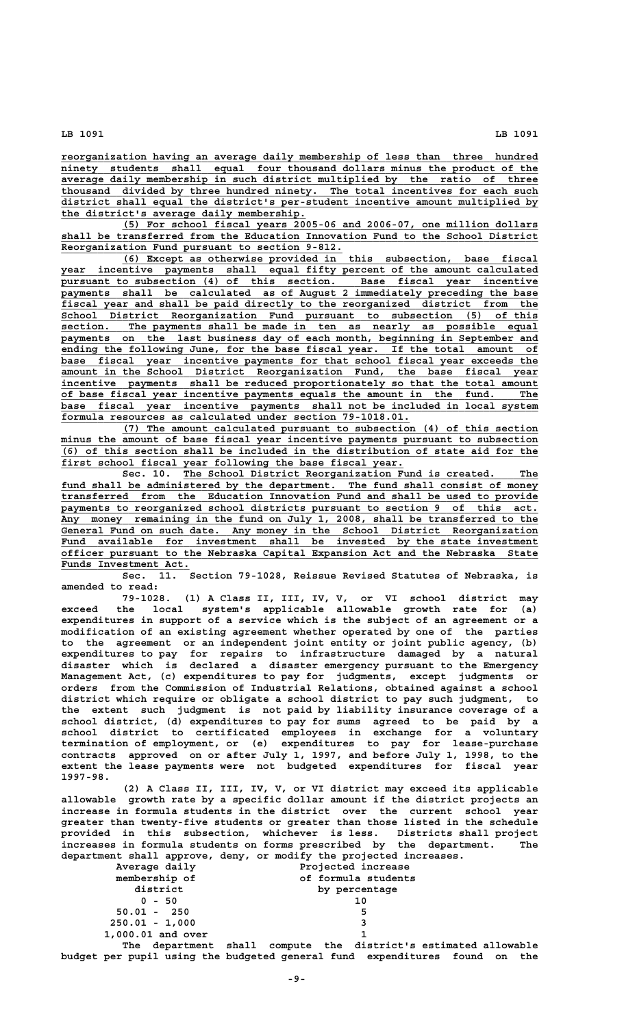**\_\_\_\_\_\_\_\_\_\_\_\_\_\_\_\_\_\_\_\_\_\_\_\_\_\_\_\_\_\_\_\_\_\_\_\_\_\_\_\_\_\_\_\_\_\_\_\_\_\_\_\_\_\_\_\_\_\_\_\_\_\_\_\_\_\_\_\_\_\_\_\_\_\_\_\_\_\_ reorganization having an average daily membership of less than three hundred**  $n$ inety students shall equal four thousand dollars minus the product of the  **\_\_\_\_\_\_\_\_\_\_\_\_\_\_\_\_\_\_\_\_\_\_\_\_\_\_\_\_\_\_\_\_\_\_\_\_\_\_\_\_\_\_\_\_\_\_\_\_\_\_\_\_\_\_\_\_\_\_\_\_\_\_\_\_\_\_\_\_\_\_\_\_\_\_\_\_\_\_ average daily membership in such district multiplied by the ratio of three \_\_\_\_\_\_\_\_\_\_\_\_\_\_\_\_\_\_\_\_\_\_\_\_\_\_\_\_\_\_\_\_\_\_\_\_\_\_\_\_\_\_\_\_\_\_\_\_\_\_\_\_\_\_\_\_\_\_\_\_\_\_\_\_\_\_\_\_\_\_\_\_\_\_\_\_\_\_ thousand divided by three hundred ninety. The total incentives for each such \_\_\_\_\_\_\_\_\_\_\_\_\_\_\_\_\_\_\_\_\_\_\_\_\_\_\_\_\_\_\_\_\_\_\_\_\_\_\_\_\_\_\_\_\_\_\_\_\_\_\_\_\_\_\_\_\_\_\_\_\_\_\_\_\_\_\_\_\_\_\_\_\_\_\_\_\_\_ district shall equal the district's per-student incentive amount multiplied by \_\_\_\_\_\_\_\_\_\_\_\_\_\_\_\_\_\_\_\_\_\_\_\_\_\_\_\_\_\_\_\_\_\_\_\_\_\_\_\_ the district's average daily membership.**

 **\_\_\_\_\_\_\_\_\_\_\_\_\_\_\_\_\_\_\_\_\_\_\_\_\_\_\_\_\_\_\_\_\_\_\_\_\_\_\_\_\_\_\_\_\_\_\_\_\_\_\_\_\_\_\_\_\_\_\_\_\_\_\_\_\_\_\_\_ (5) For school fiscal years 2005-06 and 2006-07, one million dollars \_\_\_\_\_\_\_\_\_\_\_\_\_\_\_\_\_\_\_\_\_\_\_\_\_\_\_\_\_\_\_\_\_\_\_\_\_\_\_\_\_\_\_\_\_\_\_\_\_\_\_\_\_\_\_\_\_\_\_\_\_\_\_\_\_\_\_\_\_\_\_\_\_\_\_\_\_\_ shall be transferred from the Education Innovation Fund to the School District \_\_\_\_\_\_\_\_\_\_\_\_\_\_\_\_\_\_\_\_\_\_\_\_\_\_\_\_\_\_\_\_\_\_\_\_\_\_\_\_\_\_\_\_\_\_ Reorganization Fund pursuant to section 9-812.**

 **\_\_\_\_\_\_\_\_\_\_\_\_\_\_\_\_\_\_\_\_\_\_\_\_\_\_\_\_\_\_\_\_\_\_\_\_\_\_\_\_\_\_\_\_\_\_\_\_\_\_\_\_\_\_\_\_\_\_\_\_\_\_\_\_\_\_\_\_ (6) Except as otherwise provided in this subsection, base fiscal \_\_\_\_\_\_\_\_\_\_\_\_\_\_\_\_\_\_\_\_\_\_\_\_\_\_\_\_\_\_\_\_\_\_\_\_\_\_\_\_\_\_\_\_\_\_\_\_\_\_\_\_\_\_\_\_\_\_\_\_\_\_\_\_\_\_\_\_\_\_\_\_\_\_\_\_\_\_ year incentive payments shall equal fifty percent of the amount calculated \_\_\_\_\_\_\_\_\_\_\_\_\_\_\_\_\_\_\_\_\_\_\_\_\_\_\_\_\_\_\_\_\_\_\_\_\_\_\_\_\_\_\_\_\_\_\_\_\_\_\_\_\_\_\_\_\_\_\_\_\_\_\_\_\_\_\_\_\_\_\_\_\_\_\_\_\_\_ pursuant to subsection (4) of this section. Base fiscal year incentive \_\_\_\_\_\_\_\_\_\_\_\_\_\_\_\_\_\_\_\_\_\_\_\_\_\_\_\_\_\_\_\_\_\_\_\_\_\_\_\_\_\_\_\_\_\_\_\_\_\_\_\_\_\_\_\_\_\_\_\_\_\_\_\_\_\_\_\_\_\_\_\_\_\_\_\_\_\_ payments shall be calculated as of August 2 immediately preceding the base \_\_\_\_\_\_\_\_\_\_\_\_\_\_\_\_\_\_\_\_\_\_\_\_\_\_\_\_\_\_\_\_\_\_\_\_\_\_\_\_\_\_\_\_\_\_\_\_\_\_\_\_\_\_\_\_\_\_\_\_\_\_\_\_\_\_\_\_\_\_\_\_\_\_\_\_\_\_ fiscal year and shall be paid directly to the reorganized district from the \_\_\_\_\_\_\_\_\_\_\_\_\_\_\_\_\_\_\_\_\_\_\_\_\_\_\_\_\_\_\_\_\_\_\_\_\_\_\_\_\_\_\_\_\_\_\_\_\_\_\_\_\_\_\_\_\_\_\_\_\_\_\_\_\_\_\_\_\_\_\_\_\_\_\_\_\_\_ School District Reorganization Fund pursuant to subsection (5) of this \_\_\_\_\_\_\_\_\_\_\_\_\_\_\_\_\_\_\_\_\_\_\_\_\_\_\_\_\_\_\_\_\_\_\_\_\_\_\_\_\_\_\_\_\_\_\_\_\_\_\_\_\_\_\_\_\_\_\_\_\_\_\_\_\_\_\_\_\_\_\_\_\_\_\_\_\_\_ section. The payments shall be made in ten as nearly as possible equal** payments on the last business day of each month, beginning in September and  **\_\_\_\_\_\_\_\_\_\_\_\_\_\_\_\_\_\_\_\_\_\_\_\_\_\_\_\_\_\_\_\_\_\_\_\_\_\_\_\_\_\_\_\_\_\_\_\_\_\_\_\_\_\_\_\_\_\_\_\_\_\_\_\_\_\_\_\_\_\_\_\_\_\_\_\_\_\_ ending the following June, for the base fiscal year. If the total amount of \_\_\_\_\_\_\_\_\_\_\_\_\_\_\_\_\_\_\_\_\_\_\_\_\_\_\_\_\_\_\_\_\_\_\_\_\_\_\_\_\_\_\_\_\_\_\_\_\_\_\_\_\_\_\_\_\_\_\_\_\_\_\_\_\_\_\_\_\_\_\_\_\_\_\_\_\_\_ base fiscal year incentive payments for that school fiscal year exceeds the \_\_\_\_\_\_\_\_\_\_\_\_\_\_\_\_\_\_\_\_\_\_\_\_\_\_\_\_\_\_\_\_\_\_\_\_\_\_\_\_\_\_\_\_\_\_\_\_\_\_\_\_\_\_\_\_\_\_\_\_\_\_\_\_\_\_\_\_\_\_\_\_\_\_\_\_\_\_ amount in the School District Reorganization Fund, the base fiscal year \_\_\_\_\_\_\_\_\_\_\_\_\_\_\_\_\_\_\_\_\_\_\_\_\_\_\_\_\_\_\_\_\_\_\_\_\_\_\_\_\_\_\_\_\_\_\_\_\_\_\_\_\_\_\_\_\_\_\_\_\_\_\_\_\_\_\_\_\_\_\_\_\_\_\_\_\_\_ incentive payments shall be reduced proportionately so that the total amount \_\_\_\_\_\_\_\_\_\_\_\_\_\_\_\_\_\_\_\_\_\_\_\_\_\_\_\_\_\_\_\_\_\_\_\_\_\_\_\_\_\_\_\_\_\_\_\_\_\_\_\_\_\_\_\_\_\_\_\_\_\_\_\_\_\_\_\_\_\_\_\_\_\_\_\_\_\_ of base fiscal year incentive payments equals the amount in the fund. The \_\_\_\_\_\_\_\_\_\_\_\_\_\_\_\_\_\_\_\_\_\_\_\_\_\_\_\_\_\_\_\_\_\_\_\_\_\_\_\_\_\_\_\_\_\_\_\_\_\_\_\_\_\_\_\_\_\_\_\_\_\_\_\_\_\_\_\_\_\_\_\_\_\_\_\_\_\_ base fiscal year incentive payments shall not be included in local system** formula resources as calculated under section 79-1018.01.

 **\_\_\_\_\_\_\_\_\_\_\_\_\_\_\_\_\_\_\_\_\_\_\_\_\_\_\_\_\_\_\_\_\_\_\_\_\_\_\_\_\_\_\_\_\_\_\_\_\_\_\_\_\_\_\_\_\_\_\_\_\_\_\_\_\_\_\_\_ (7) The amount calculated pursuant to subsection (4) of this section \_\_\_\_\_\_\_\_\_\_\_\_\_\_\_\_\_\_\_\_\_\_\_\_\_\_\_\_\_\_\_\_\_\_\_\_\_\_\_\_\_\_\_\_\_\_\_\_\_\_\_\_\_\_\_\_\_\_\_\_\_\_\_\_\_\_\_\_\_\_\_\_\_\_\_\_\_\_ minus the amount of base fiscal year incentive payments pursuant to subsection \_\_\_\_\_\_\_\_\_\_\_\_\_\_\_\_\_\_\_\_\_\_\_\_\_\_\_\_\_\_\_\_\_\_\_\_\_\_\_\_\_\_\_\_\_\_\_\_\_\_\_\_\_\_\_\_\_\_\_\_\_\_\_\_\_\_\_\_\_\_\_\_\_\_\_\_\_\_ (6) of this section shall be included in the distribution of state aid for the \_\_\_\_\_\_\_\_\_\_\_\_\_\_\_\_\_\_\_\_\_\_\_\_\_\_\_\_\_\_\_\_\_\_\_\_\_\_\_\_\_\_\_\_\_\_\_\_\_\_\_\_\_\_\_\_ first school fiscal year following the base fiscal year.**

Sec. 10. The School District Reorganization Fund is created. The fund shall be administered by the department. The fund shall consist of money  **\_\_\_\_\_\_\_\_\_\_\_\_\_\_\_\_\_\_\_\_\_\_\_\_\_\_\_\_\_\_\_\_\_\_\_\_\_\_\_\_\_\_\_\_\_\_\_\_\_\_\_\_\_\_\_\_\_\_\_\_\_\_\_\_\_\_\_\_\_\_\_\_\_\_\_\_\_\_ transferred from the Education Innovation Fund and shall be used to provide \_\_\_\_\_\_\_\_\_\_\_\_\_\_\_\_\_\_\_\_\_\_\_\_\_\_\_\_\_\_\_\_\_\_\_\_\_\_\_\_\_\_\_\_\_\_\_\_\_\_\_\_\_\_\_\_\_\_\_\_\_\_\_\_\_\_\_\_\_\_\_\_\_\_\_\_\_\_ payments to reorganized school districts pursuant to section 9 of this act. \_\_\_\_\_\_\_\_\_\_\_\_\_\_\_\_\_\_\_\_\_\_\_\_\_\_\_\_\_\_\_\_\_\_\_\_\_\_\_\_\_\_\_\_\_\_\_\_\_\_\_\_\_\_\_\_\_\_\_\_\_\_\_\_\_\_\_\_\_\_\_\_\_\_\_\_\_\_ Any money remaining in the fund on July 1, 2008, shall be transferred to the \_\_\_\_\_\_\_\_\_\_\_\_\_\_\_\_\_\_\_\_\_\_\_\_\_\_\_\_\_\_\_\_\_\_\_\_\_\_\_\_\_\_\_\_\_\_\_\_\_\_\_\_\_\_\_\_\_\_\_\_\_\_\_\_\_\_\_\_\_\_\_\_\_\_\_\_\_\_ General Fund on such date. Any money in the School District Reorganization \_\_\_\_\_\_\_\_\_\_\_\_\_\_\_\_\_\_\_\_\_\_\_\_\_\_\_\_\_\_\_\_\_\_\_\_\_\_\_\_\_\_\_\_\_\_\_\_\_\_\_\_\_\_\_\_\_\_\_\_\_\_\_\_\_\_\_\_\_\_\_\_\_\_\_\_\_\_ Fund available for investment shall be invested by the state investment \_\_\_\_\_\_\_\_\_\_\_\_\_\_\_\_\_\_\_\_\_\_\_\_\_\_\_\_\_\_\_\_\_\_\_\_\_\_\_\_\_\_\_\_\_\_\_\_\_\_\_\_\_\_\_\_\_\_\_\_\_\_\_\_\_\_\_\_\_\_\_\_\_\_\_\_\_\_ officer pursuant to the Nebraska Capital Expansion Act and the Nebraska State \_\_\_\_\_\_\_\_\_\_\_\_\_\_\_\_\_\_\_\_\_ Funds Investment Act.**

**Sec. 11. Section 79-1028, Reissue Revised Statutes of Nebraska, is amended to read:**

**79-1028. (1) A Class II, III, IV, V, or VI school district may exceed the local system's applicable allowable growth rate for (a) expenditures in support of a service which is the subject of an agreement or a modification of an existing agreement whether operated by one of the parties to the agreement or an independent joint entity or joint public agency, (b) expenditures to pay for repairs to infrastructure damaged by a natural disaster which is declared a disaster emergency pursuant to the Emergency Management Act, (c) expenditures to pay for judgments, except judgments or orders from the Commission of Industrial Relations, obtained against a school district which require or obligate a school district to pay such judgment, to the extent such judgment is not paid by liability insurance coverage of a school district, (d) expenditures to pay for sums agreed to be paid by a school district to certificated employees in exchange for a voluntary termination of employment, or (e) expenditures to pay for lease-purchase contracts approved on or after July 1, 1997, and before July 1, 1998, to the extent the lease payments were not budgeted expenditures for fiscal year 1997-98.**

**(2) A Class II, III, IV, V, or VI district may exceed its applicable allowable growth rate by a specific dollar amount if the district projects an increase in formula students in the district over the current school year greater than twenty-five students or greater than those listed in the schedule provided in this subsection, whichever is less. Districts shall project increases in formula students on forms prescribed by the department. The department shall approve, deny, or modify the projected increases.**

| Average daily     | Projected increase                                                         |
|-------------------|----------------------------------------------------------------------------|
| membership of     | of formula students                                                        |
| district          | by percentage                                                              |
| $0 - 50$          | 10                                                                         |
| $50.01 - 250$     | 5                                                                          |
| $250.01 - 1,000$  |                                                                            |
| 1,000.01 and over |                                                                            |
|                   | The department shall compute the district's estimated allowable            |
|                   | budget per pupil using the budgeted general fund expenditures found on the |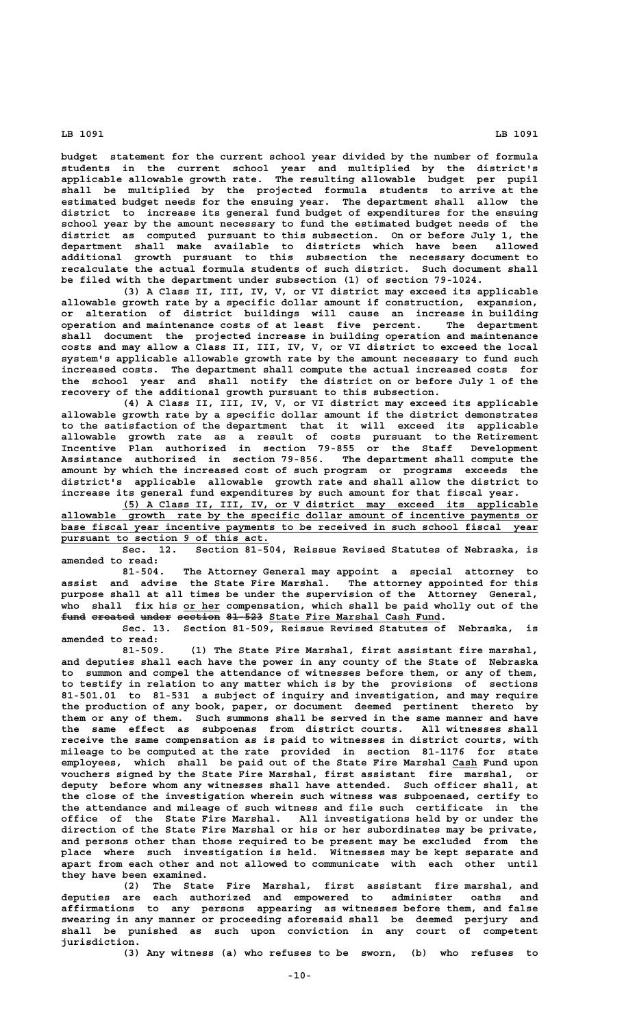**budget statement for the current school year divided by the number of formula students in the current school year and multiplied by the district's applicable allowable growth rate. The resulting allowable budget per pupil shall be multiplied by the projected formula students to arrive at the estimated budget needs for the ensuing year. The department shall allow the district to increase its general fund budget of expenditures for the ensuing school year by the amount necessary to fund the estimated budget needs of the district as computed pursuant to this subsection. On or before July 1, the department shall make available to districts which have been allowed additional growth pursuant to this subsection the necessary document to recalculate the actual formula students of such district. Such document shall be filed with the department under subsection (1) of section 79-1024.**

**(3) A Class II, III, IV, V, or VI district may exceed its applicable allowable growth rate by a specific dollar amount if construction, expansion, or alteration of district buildings will cause an increase in building operation and maintenance costs of at least five percent. The department shall document the projected increase in building operation and maintenance costs and may allow a Class II, III, IV, V, or VI district to exceed the local system's applicable allowable growth rate by the amount necessary to fund such increased costs. The department shall compute the actual increased costs for the school year and shall notify the district on or before July 1 of the recovery of the additional growth pursuant to this subsection.**

**(4) A Class II, III, IV, V, or VI district may exceed its applicable allowable growth rate by a specific dollar amount if the district demonstrates to the satisfaction of the department that it will exceed its applicable allowable growth rate as a result of costs pursuant to the Retirement Incentive Plan authorized in section 79-855 or the Staff Development Assistance authorized in section 79-856. The department shall compute the amount by which the increased cost of such program or programs exceeds the district's applicable allowable growth rate and shall allow the district to increase its general fund expenditures by such amount for that fiscal year.**

 **\_\_\_\_\_\_\_\_\_\_\_\_\_\_\_\_\_\_\_\_\_\_\_\_\_\_\_\_\_\_\_\_\_\_\_\_\_\_\_\_\_\_\_\_\_\_\_\_\_\_\_\_\_\_\_\_\_\_\_\_\_\_\_\_\_\_\_\_ (5) A Class II, III, IV, or V district may exceed its applicable \_\_\_\_\_\_\_\_\_\_\_\_\_\_\_\_\_\_\_\_\_\_\_\_\_\_\_\_\_\_\_\_\_\_\_\_\_\_\_\_\_\_\_\_\_\_\_\_\_\_\_\_\_\_\_\_\_\_\_\_\_\_\_\_\_\_\_\_\_\_\_\_\_\_\_\_\_\_ allowable growth rate by the specific dollar amount of incentive payments or \_\_\_\_\_\_\_\_\_\_\_\_\_\_\_\_\_\_\_\_\_\_\_\_\_\_\_\_\_\_\_\_\_\_\_\_\_\_\_\_\_\_\_\_\_\_\_\_\_\_\_\_\_\_\_\_\_\_\_\_\_\_\_\_\_\_\_\_\_\_\_\_\_\_\_\_\_\_ base fiscal year incentive payments to be received in such school fiscal year \_\_\_\_\_\_\_\_\_\_\_\_\_\_\_\_\_\_\_\_\_\_\_\_\_\_\_\_\_\_\_\_\_\_ pursuant to section 9 of this act.**

**Sec. 12. Section 81-504, Reissue Revised Statutes of Nebraska, is amended to read:**

**81-504. The Attorney General may appoint a special attorney to assist and advise the State Fire Marshal. The attorney appointed for this purpose shall at all times be under the supervision of the Attorney General, \_\_\_\_\_\_ who shall fix his or her compensation, which shall be paid wholly out of the** fund ereated under section 81-523 State Fire Marshal Cash Fund.

**Sec. 13. Section 81-509, Reissue Revised Statutes of Nebraska, is amended to read:**

**81-509. (1) The State Fire Marshal, first assistant fire marshal, and deputies shall each have the power in any county of the State of Nebraska to summon and compel the attendance of witnesses before them, or any of them, to testify in relation to any matter which is by the provisions of sections 81-501.01 to 81-531 a subject of inquiry and investigation, and may require the production of any book, paper, or document deemed pertinent thereto by them or any of them. Such summons shall be served in the same manner and have the same effect as subpoenas from district courts. All witnesses shall receive the same compensation as is paid to witnesses in district courts, with mileage to be computed at the rate provided in section 81-1176 for state employees, which shall be paid out of the State Fire Marshal Cash Fund upon \_\_\_\_ vouchers signed by the State Fire Marshal, first assistant fire marshal, or deputy before whom any witnesses shall have attended. Such officer shall, at the close of the investigation wherein such witness was subpoenaed, certify to the attendance and mileage of such witness and file such certificate in the office of the State Fire Marshal. All investigations held by or under the direction of the State Fire Marshal or his or her subordinates may be private, and persons other than those required to be present may be excluded from the place where such investigation is held. Witnesses may be kept separate and apart from each other and not allowed to communicate with each other until they have been examined.**

**(2) The State Fire Marshal, first assistant fire marshal, and deputies are each authorized and empowered to administer oaths and affirmations to any persons appearing as witnesses before them, and false swearing in any manner or proceeding aforesaid shall be deemed perjury and shall be punished as such upon conviction in any court of competent jurisdiction.**

**(3) Any witness (a) who refuses to be sworn, (b) who refuses to**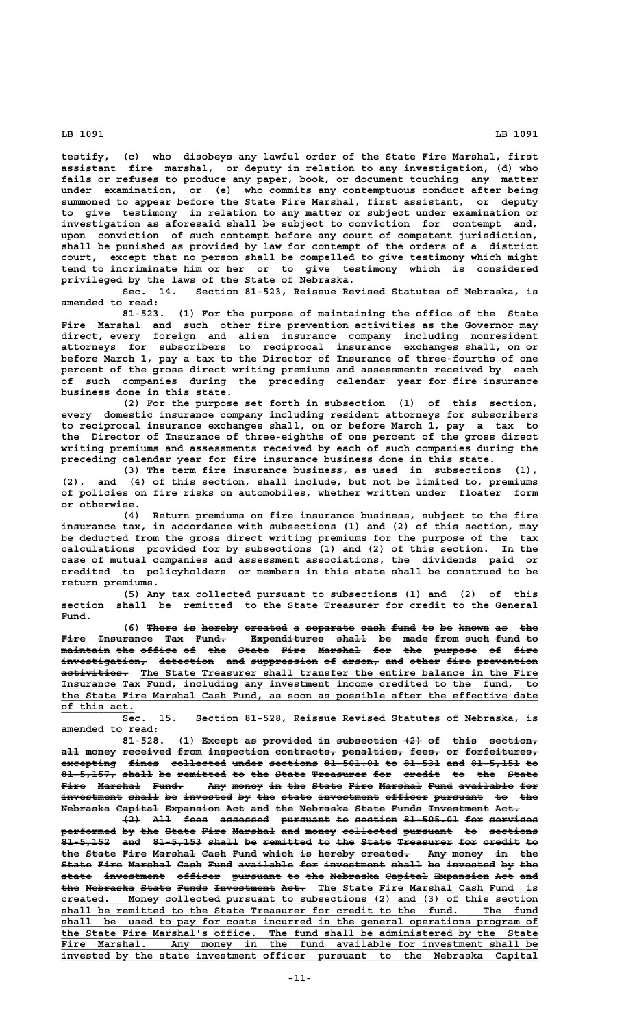**testify, (c) who disobeys any lawful order of the State Fire Marshal, first assistant fire marshal, or deputy in relation to any investigation, (d) who fails or refuses to produce any paper, book, or document touching any matter under examination, or (e) who commits any contemptuous conduct after being summoned to appear before the State Fire Marshal, first assistant, or deputy to give testimony in relation to any matter or subject under examination or investigation as aforesaid shall be subject to conviction for contempt and, upon conviction of such contempt before any court of competent jurisdiction, shall be punished as provided by law for contempt of the orders of a district court, except that no person shall be compelled to give testimony which might tend to incriminate him or her or to give testimony which is considered privileged by the laws of the State of Nebraska.**

**Sec. 14. Section 81-523, Reissue Revised Statutes of Nebraska, is amended to read:**

**81-523. (1) For the purpose of maintaining the office of the State Fire Marshal and such other fire prevention activities as the Governor may direct, every foreign and alien insurance company including nonresident attorneys for subscribers to reciprocal insurance exchanges shall, on or before March 1, pay a tax to the Director of Insurance of three-fourths of one percent of the gross direct writing premiums and assessments received by each of such companies during the preceding calendar year for fire insurance business done in this state.**

**(2) For the purpose set forth in subsection (1) of this section, every domestic insurance company including resident attorneys for subscribers to reciprocal insurance exchanges shall, on or before March 1, pay a tax to the Director of Insurance of three-eighths of one percent of the gross direct writing premiums and assessments received by each of such companies during the preceding calendar year for fire insurance business done in this state.**

**(3) The term fire insurance business, as used in subsections (1), (2), and (4) of this section, shall include, but not be limited to, premiums of policies on fire risks on automobiles, whether written under floater form or otherwise.**

**(4) Return premiums on fire insurance business, subject to the fire insurance tax, in accordance with subsections (1) and (2) of this section, may be deducted from the gross direct writing premiums for the purpose of the tax calculations provided for by subsections (1) and (2) of this section. In the case of mutual companies and assessment associations, the dividends paid or credited to policyholders or members in this state shall be construed to be return premiums.**

**(5) Any tax collected pursuant to subsections (1) and (2) of this section shall be remitted to the State Treasurer for credit to the General Fund.**

(6) There is hereby created a separate cash fund to be known as the **Fire Insurance Tax Fund. Expenditures shall be made from such fund to ———— ————————— ——— ————— ———————————— ————— —— ———— ———— ———— ———— — maintain the office of the State Fire Marshal for the purpose of fire ———————— ——— —————— —— ——— ————— ———— ——————— ——— ——— ——————— —— ———** investigation, detection and suppression of arson, and other fire prevention  $a$ ctivities. The State Treasurer shall transfer the entire balance in the Fire  **\_\_\_\_\_\_\_\_\_\_\_\_\_\_\_\_\_\_\_\_\_\_\_\_\_\_\_\_\_\_\_\_\_\_\_\_\_\_\_\_\_\_\_\_\_\_\_\_\_\_\_\_\_\_\_\_\_\_\_\_\_\_\_\_\_\_\_\_\_\_\_\_\_\_\_\_\_\_ Insurance Tax Fund, including any investment income credited to the fund, to \_\_\_\_\_\_\_\_\_\_\_\_\_\_\_\_\_\_\_\_\_\_\_\_\_\_\_\_\_\_\_\_\_\_\_\_\_\_\_\_\_\_\_\_\_\_\_\_\_\_\_\_\_\_\_\_\_\_\_\_\_\_\_\_\_\_\_\_\_\_\_\_\_\_\_\_\_\_ the State Fire Marshal Cash Fund, as soon as possible after the effective date \_\_\_\_\_\_\_\_\_\_\_\_ of this act.**

**Sec. 15. Section 81-528, Reissue Revised Statutes of Nebraska, is amended to read:**

81-528. (1) Except as provided in subsection  $\{2\}$  of this section,  $\texttt{all money received from inspection contracts, penalties, fees}$  or forfeitures, **excepting fines collected under sections 81-501.01 to 81-531 and 81-5,151 to ————————— ————— ————————— ————— ———————— ————————— —— —————— ——— ———————— ——**  $81-5,157$ , shall be remitted to the State Treasurer for credit to the State Fire Marshal Fund. Any money in the State Fire Marshal Fund available for investment shall be invested by the state investment officer pursuant to the **Nebraska Capital Expansion Act and the Nebraska State Funds Investment Act.** 

**(2) All fees assessed pursuant to section 81-505.01 for services ——— ——— ———— ———————— ———————— —— ——————— ————————— ——— ———————** performed by the State Fire Marshal and money collected pursuant to sections 81-5,152 and 81-5,153 shall be remitted to the State Treasurer for credit to the State Fire Marshal Cash Fund which is hereby created. Any money in the State Fire Marshal Cash Fund available for investment shall be invested by the **state investment officer pursuant to the Nebraska Capital Expansion Act and ————— —————————— ——————— ———————— —— ——— ———————— ——————— ————————— ——— ——** the Nebraska State Funds Investment Act. The State Fire Marshal Cash Fund is  **\_\_\_\_\_\_\_\_\_\_\_\_\_\_\_\_\_\_\_\_\_\_\_\_\_\_\_\_\_\_\_\_\_\_\_\_\_\_\_\_\_\_\_\_\_\_\_\_\_\_\_\_\_\_\_\_\_\_\_\_\_\_\_\_\_\_\_\_\_\_\_\_\_\_\_\_\_\_ created. Money collected pursuant to subsections (2) and (3) of this section** shall be remitted to the State Treasurer for credit to the fund. The shall be used to pay for costs incurred in the general operations program of the State Fire Marshal's office. The fund shall be administered by the State Fire Marshal. Any money in the fund available for investment shall be  **\_\_\_\_\_\_\_\_\_\_\_\_\_\_\_\_\_\_\_\_\_\_\_\_\_\_\_\_\_\_\_\_\_\_\_\_\_\_\_\_\_\_\_\_\_\_\_\_\_\_\_\_\_\_\_\_\_\_\_\_\_\_\_\_\_\_\_\_\_\_\_\_\_\_\_\_\_\_ Fire Marshal. Any money in the fund available for investment shall be \_\_\_\_\_\_\_\_\_\_\_\_\_\_\_\_\_\_\_\_\_\_\_\_\_\_\_\_\_\_\_\_\_\_\_\_\_\_\_\_\_\_\_\_\_\_\_\_\_\_\_\_\_\_\_\_\_\_\_\_\_\_\_\_\_\_\_\_\_\_\_\_\_\_\_\_\_\_ invested by the state investment officer pursuant to the Nebraska Capital**